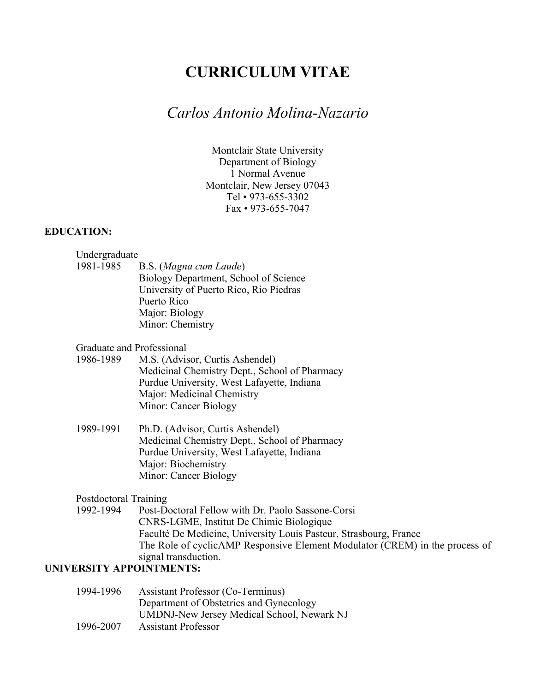# **CURRICULUM VITAE**

# *Carlos Antonio Molina-Nazario*

Montclair State University Department of Biology 1 Normal Avenue Montclair, New Jersey 07043 Tel • 973-655-3302 Fax • 973-655-7047

#### **EDUCATION:**

#### Undergraduate

1981-1985 B.S. (*Magna cum Laude*) Biology Department, School of Science University of Puerto Rico, Rio Piedras Puerto Rico Major: Biology Minor: Chemistry

# Graduate and Professional<br>1986-1989 M.S. (Advis

- M.S. (Advisor, Curtis Ashendel) Medicinal Chemistry Dept., School of Pharmacy Purdue University, West Lafayette, Indiana Major: Medicinal Chemistry Minor: Cancer Biology
- 1989-1991 Ph.D. (Advisor, Curtis Ashendel) Medicinal Chemistry Dept., School of Pharmacy Purdue University, West Lafayette, Indiana Major: Biochemistry Minor: Cancer Biology

#### Postdoctoral Training

1992-1994 Post-Doctoral Fellow with Dr. Paolo Sassone-Corsi CNRS-LGME, Institut De Chimie Biologique Faculté De Medicine, University Louis Pasteur, Strasbourg, France The Role of cyclicAMP Responsive Element Modulator (CREM) in the process of signal transduction.

### **UNIVERSITY APPOINTMENTS:**

| 1994-1996 | Assistant Professor (Co-Terminus)          |
|-----------|--------------------------------------------|
|           | Department of Obstetrics and Gynecology    |
|           | UMDNJ-New Jersey Medical School, Newark NJ |
| 1996-2007 | <b>Assistant Professor</b>                 |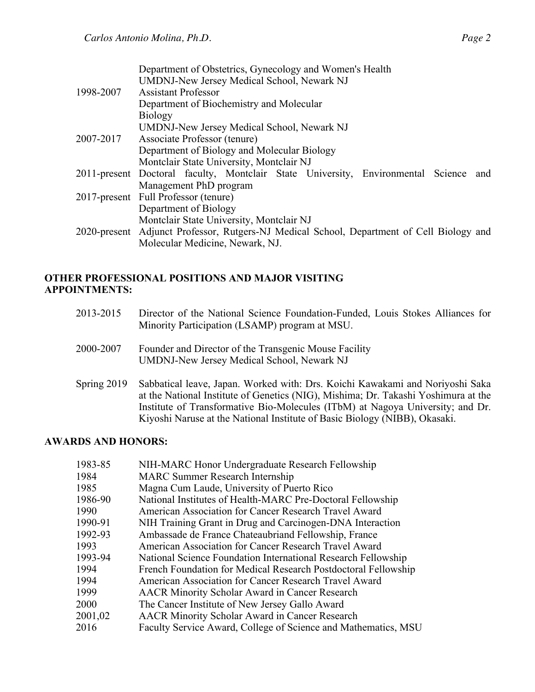|           | Department of Obstetrics, Gynecology and Women's Health                                   |
|-----------|-------------------------------------------------------------------------------------------|
| 1998-2007 | UMDNJ-New Jersey Medical School, Newark NJ                                                |
|           | <b>Assistant Professor</b>                                                                |
|           | Department of Biochemistry and Molecular                                                  |
|           | <b>Biology</b>                                                                            |
| 2007-2017 | <b>UMDNJ-New Jersey Medical School, Newark NJ</b>                                         |
|           | Associate Professor (tenure)                                                              |
|           | Department of Biology and Molecular Biology                                               |
|           | Montclair State University, Montclair NJ                                                  |
|           | 2011-present Doctoral faculty, Montclair State University, Environmental Science and      |
|           | Management PhD program                                                                    |
|           | 2017-present Full Professor (tenure)                                                      |
|           | Department of Biology                                                                     |
|           | Montclair State University, Montclair NJ                                                  |
|           | 2020-present Adjunct Professor, Rutgers-NJ Medical School, Department of Cell Biology and |
|           | Molecular Medicine, Newark, NJ.                                                           |
|           |                                                                                           |

### **OTHER PROFESSIONAL POSITIONS AND MAJOR VISITING APPOINTMENTS:**

| 2013-2015   | Director of the National Science Foundation-Funded, Louis Stokes Alliances for<br>Minority Participation (LSAMP) program at MSU.                                                                                                                                                                                                    |
|-------------|-------------------------------------------------------------------------------------------------------------------------------------------------------------------------------------------------------------------------------------------------------------------------------------------------------------------------------------|
| 2000-2007   | Founder and Director of the Transgenic Mouse Facility<br><b>UMDNJ-New Jersey Medical School, Newark NJ</b>                                                                                                                                                                                                                          |
| Spring 2019 | Sabbatical leave, Japan. Worked with: Drs. Koichi Kawakami and Noriyoshi Saka<br>at the National Institute of Genetics (NIG), Mishima; Dr. Takashi Yoshimura at the<br>Institute of Transformative Bio-Molecules (ITbM) at Nagoya University; and Dr.<br>Kiyoshi Naruse at the National Institute of Basic Biology (NIBB), Okasaki. |

### **AWARDS AND HONORS:**

| 1983-85 | NIH-MARC Honor Undergraduate Research Fellowship               |
|---------|----------------------------------------------------------------|
| 1984    | <b>MARC Summer Research Internship</b>                         |
| 1985    | Magna Cum Laude, University of Puerto Rico                     |
| 1986-90 | National Institutes of Health-MARC Pre-Doctoral Fellowship     |
| 1990    | American Association for Cancer Research Travel Award          |
| 1990-91 | NIH Training Grant in Drug and Carcinogen-DNA Interaction      |
| 1992-93 | Ambassade de France Chateaubriand Fellowship, France           |
| 1993    | American Association for Cancer Research Travel Award          |
| 1993-94 | National Science Foundation International Research Fellowship  |
| 1994    | French Foundation for Medical Research Postdoctoral Fellowship |
| 1994    | American Association for Cancer Research Travel Award          |
| 1999    | <b>AACR Minority Scholar Award in Cancer Research</b>          |
| 2000    | The Cancer Institute of New Jersey Gallo Award                 |
| 2001,02 | <b>AACR Minority Scholar Award in Cancer Research</b>          |
| 2016    | Faculty Service Award, College of Science and Mathematics, MSU |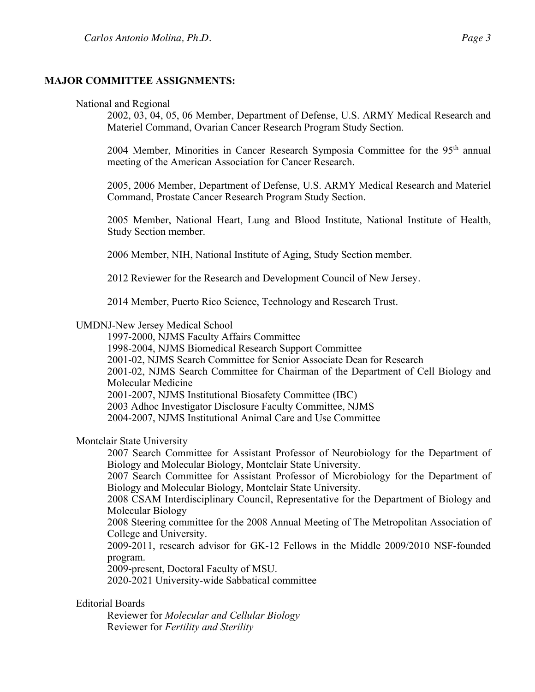#### **MAJOR COMMITTEE ASSIGNMENTS:**

#### National and Regional

2002, 03, 04, 05, 06 Member, Department of Defense, U.S. ARMY Medical Research and Materiel Command, Ovarian Cancer Research Program Study Section.

2004 Member, Minorities in Cancer Research Symposia Committee for the 95<sup>th</sup> annual meeting of the American Association for Cancer Research.

2005, 2006 Member, Department of Defense, U.S. ARMY Medical Research and Materiel Command, Prostate Cancer Research Program Study Section.

2005 Member, National Heart, Lung and Blood Institute, National Institute of Health, Study Section member.

2006 Member, NIH, National Institute of Aging, Study Section member.

2012 Reviewer for the Research and Development Council of New Jersey.

2014 Member, Puerto Rico Science, Technology and Research Trust.

#### UMDNJ-New Jersey Medical School

1997-2000, NJMS Faculty Affairs Committee 1998-2004, NJMS Biomedical Research Support Committee 2001-02, NJMS Search Committee for Senior Associate Dean for Research 2001-02, NJMS Search Committee for Chairman of the Department of Cell Biology and Molecular Medicine 2001-2007, NJMS Institutional Biosafety Committee (IBC) 2003 Adhoc Investigator Disclosure Faculty Committee, NJMS 2004-2007, NJMS Institutional Animal Care and Use Committee

#### Montclair State University

2007 Search Committee for Assistant Professor of Neurobiology for the Department of Biology and Molecular Biology, Montclair State University.

2007 Search Committee for Assistant Professor of Microbiology for the Department of Biology and Molecular Biology, Montclair State University.

2008 CSAM Interdisciplinary Council, Representative for the Department of Biology and Molecular Biology

2008 Steering committee for the 2008 Annual Meeting of The Metropolitan Association of College and University.

2009-2011, research advisor for GK-12 Fellows in the Middle 2009/2010 NSF-founded program.

2009-present, Doctoral Faculty of MSU.

2020-2021 University-wide Sabbatical committee

#### Editorial Boards

Reviewer for *Molecular and Cellular Biology* Reviewer for *Fertility and Sterility*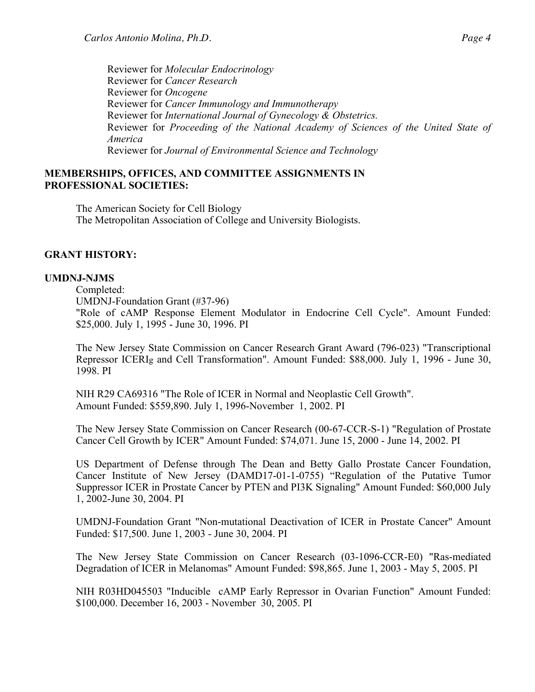Reviewer for *Molecular Endocrinology* Reviewer for *Cancer Research* Reviewer for *Oncogene* Reviewer for *Cancer Immunology and Immunotherapy* Reviewer for *International Journal of Gynecology & Obstetrics.* Reviewer for *Proceeding of the National Academy of Sciences of the United State of America* Reviewer for *Journal of Environmental Science and Technology*

#### **MEMBERSHIPS, OFFICES, AND COMMITTEE ASSIGNMENTS IN PROFESSIONAL SOCIETIES:**

The American Society for Cell Biology The Metropolitan Association of College and University Biologists.

#### **GRANT HISTORY:**

#### **UMDNJ-NJMS**

#### Completed:

UMDNJ-Foundation Grant (#37-96)

"Role of cAMP Response Element Modulator in Endocrine Cell Cycle". Amount Funded: \$25,000. July 1, 1995 - June 30, 1996. PI

The New Jersey State Commission on Cancer Research Grant Award (796-023) "Transcriptional Repressor ICERIg and Cell Transformation". Amount Funded: \$88,000. July 1, 1996 - June 30, 1998. PI

NIH R29 CA69316 "The Role of ICER in Normal and Neoplastic Cell Growth". Amount Funded: \$559,890. July 1, 1996-November 1, 2002. PI

The New Jersey State Commission on Cancer Research (00-67-CCR-S-1) "Regulation of Prostate Cancer Cell Growth by ICER" Amount Funded: \$74,071. June 15, 2000 - June 14, 2002. PI

US Department of Defense through The Dean and Betty Gallo Prostate Cancer Foundation, Cancer Institute of New Jersey (DAMD17-01-1-0755) "Regulation of the Putative Tumor Suppressor ICER in Prostate Cancer by PTEN and PI3K Signaling" Amount Funded: \$60,000 July 1, 2002-June 30, 2004. PI

UMDNJ-Foundation Grant "Non-mutational Deactivation of ICER in Prostate Cancer" Amount Funded: \$17,500. June 1, 2003 - June 30, 2004. PI

The New Jersey State Commission on Cancer Research (03-1096-CCR-E0) "Ras-mediated Degradation of ICER in Melanomas" Amount Funded: \$98,865. June 1, 2003 - May 5, 2005. PI

NIH R03HD045503 "Inducible cAMP Early Repressor in Ovarian Function" Amount Funded: \$100,000. December 16, 2003 - November 30, 2005. PI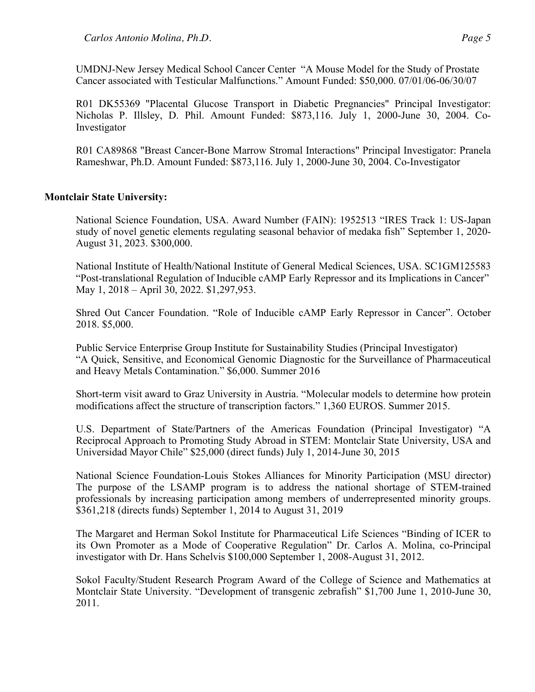UMDNJ-New Jersey Medical School Cancer Center "A Mouse Model for the Study of Prostate Cancer associated with Testicular Malfunctions." Amount Funded: \$50,000. 07/01/06-06/30/07

R01 DK55369 "Placental Glucose Transport in Diabetic Pregnancies" Principal Investigator: Nicholas P. Illsley, D. Phil. Amount Funded: \$873,116. July 1, 2000-June 30, 2004. Co-Investigator

R01 CA89868 "Breast Cancer-Bone Marrow Stromal Interactions" Principal Investigator: Pranela Rameshwar, Ph.D. Amount Funded: \$873,116. July 1, 2000-June 30, 2004. Co-Investigator

### **Montclair State University:**

National Science Foundation, USA. Award Number (FAIN): 1952513 "IRES Track 1: US-Japan study of novel genetic elements regulating seasonal behavior of medaka fish" September 1, 2020- August 31, 2023. \$300,000.

National Institute of Health/National Institute of General Medical Sciences, USA. SC1GM125583 "Post-translational Regulation of Inducible cAMP Early Repressor and its Implications in Cancer" May 1, 2018 – April 30, 2022. \$1,297,953.

Shred Out Cancer Foundation. "Role of Inducible cAMP Early Repressor in Cancer". October 2018. \$5,000.

Public Service Enterprise Group Institute for Sustainability Studies (Principal Investigator) "A Quick, Sensitive, and Economical Genomic Diagnostic for the Surveillance of Pharmaceutical and Heavy Metals Contamination." \$6,000. Summer 2016

Short-term visit award to Graz University in Austria. "Molecular models to determine how protein modifications affect the structure of transcription factors." 1,360 EUROS. Summer 2015.

U.S. Department of State/Partners of the Americas Foundation (Principal Investigator) "A Reciprocal Approach to Promoting Study Abroad in STEM: Montclair State University, USA and Universidad Mayor Chile" \$25,000 (direct funds) July 1, 2014-June 30, 2015

National Science Foundation-Louis Stokes Alliances for Minority Participation (MSU director) The purpose of the LSAMP program is to address the national shortage of STEM-trained professionals by increasing participation among members of underrepresented minority groups. \$361,218 (directs funds) September 1, 2014 to August 31, 2019

The Margaret and Herman Sokol Institute for Pharmaceutical Life Sciences "Binding of ICER to its Own Promoter as a Mode of Cooperative Regulation" Dr. Carlos A. Molina, co-Principal investigator with Dr. Hans Schelvis \$100,000 September 1, 2008-August 31, 2012.

Sokol Faculty/Student Research Program Award of the College of Science and Mathematics at Montclair State University. "Development of transgenic zebrafish" \$1,700 June 1, 2010-June 30, 2011.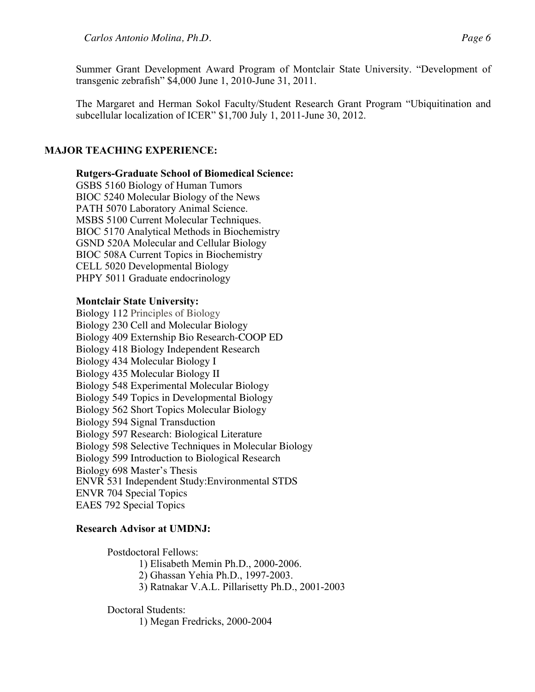Summer Grant Development Award Program of Montclair State University. "Development of transgenic zebrafish" \$4,000 June 1, 2010-June 31, 2011.

The Margaret and Herman Sokol Faculty/Student Research Grant Program "Ubiquitination and subcellular localization of ICER" \$1,700 July 1, 2011-June 30, 2012.

#### **MAJOR TEACHING EXPERIENCE:**

**Rutgers-Graduate School of Biomedical Science:**

GSBS 5160 Biology of Human Tumors BIOC 5240 Molecular Biology of the News PATH 5070 Laboratory Animal Science. MSBS 5100 Current Molecular Techniques. BIOC 5170 Analytical Methods in Biochemistry GSND 520A Molecular and Cellular Biology BIOC 508A Current Topics in Biochemistry CELL 5020 Developmental Biology PHPY 5011 Graduate endocrinology

#### **Montclair State University:**

Biology 112 Principles of Biology Biology 230 Cell and Molecular Biology Biology 409 Externship Bio Research-COOP ED Biology 418 Biology Independent Research Biology 434 Molecular Biology I Biology 435 Molecular Biology II Biology 548 Experimental Molecular Biology Biology 549 Topics in Developmental Biology Biology 562 Short Topics Molecular Biology Biology 594 Signal Transduction Biology 597 Research: Biological Literature Biology 598 Selective Techniques in Molecular Biology Biology 599 Introduction to Biological Research Biology 698 Master's Thesis ENVR 531 Independent Study:Environmental STDS ENVR 704 Special Topics EAES 792 Special Topics

#### **Research Advisor at UMDNJ:**

Postdoctoral Fellows:

1) Elisabeth Memin Ph.D., 2000-2006.

2) Ghassan Yehia Ph.D., 1997-2003.

3) Ratnakar V.A.L. Pillarisetty Ph.D., 2001-2003

Doctoral Students:

1) Megan Fredricks, 2000-2004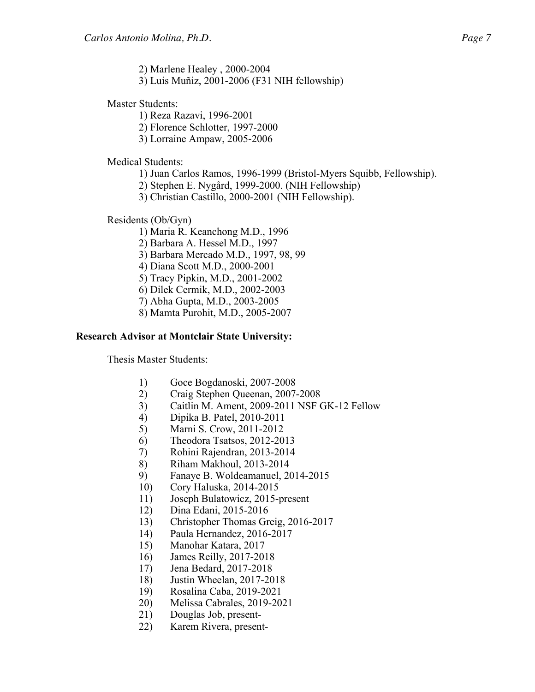- 2) Marlene Healey , 2000-2004
- 3) Luis Muñiz, 2001-2006 (F31 NIH fellowship)

Master Students:

- 1) Reza Razavi, 1996-2001
- 2) Florence Schlotter, 1997-2000
- 3) Lorraine Ampaw, 2005-2006

Medical Students:

- 1) Juan Carlos Ramos, 1996-1999 (Bristol-Myers Squibb, Fellowship).
- 2) Stephen E. Nygård, 1999-2000. (NIH Fellowship)
- 3) Christian Castillo, 2000-2001 (NIH Fellowship).

Residents (Ob/Gyn)

- 1) Maria R. Keanchong M.D., 1996
- 2) Barbara A. Hessel M.D., 1997
- 3) Barbara Mercado M.D., 1997, 98, 99
- 4) Diana Scott M.D., 2000-2001
- 5) Tracy Pipkin, M.D., 2001-2002
- 6) Dilek Cermik, M.D., 2002-2003
- 7) Abha Gupta, M.D., 2003-2005
- 8) Mamta Purohit, M.D., 2005-2007

#### **Research Advisor at Montclair State University:**

Thesis Master Students:

- 1) Goce Bogdanoski, 2007-2008
- 2) Craig Stephen Queenan, 2007-2008
- 3) Caitlin M. Ament, 2009-2011 NSF GK-12 Fellow
- 4) Dipika B. Patel, 2010-2011
- 5) Marni S. Crow, 2011-2012
- 6) Theodora Tsatsos, 2012-2013
- 7) Rohini Rajendran, 2013-2014
- 8) Riham Makhoul, 2013-2014
- 9) Fanaye B. Woldeamanuel, 2014-2015
- 10) Cory Haluska, 2014-2015
- 11) Joseph Bulatowicz, 2015-present
- 12) Dina Edani, 2015-2016
- 13) Christopher Thomas Greig, 2016-2017
- 14) Paula Hernandez, 2016-2017
- 15) Manohar Katara, 2017
- 16) James Reilly, 2017-2018
- 17) Jena Bedard, 2017-2018
- 18) Justin Wheelan, 2017-2018
- 19) Rosalina Caba, 2019-2021
- 20) Melissa Cabrales, 2019-2021
- 21) Douglas Job, present-
- 22) Karem Rivera, present-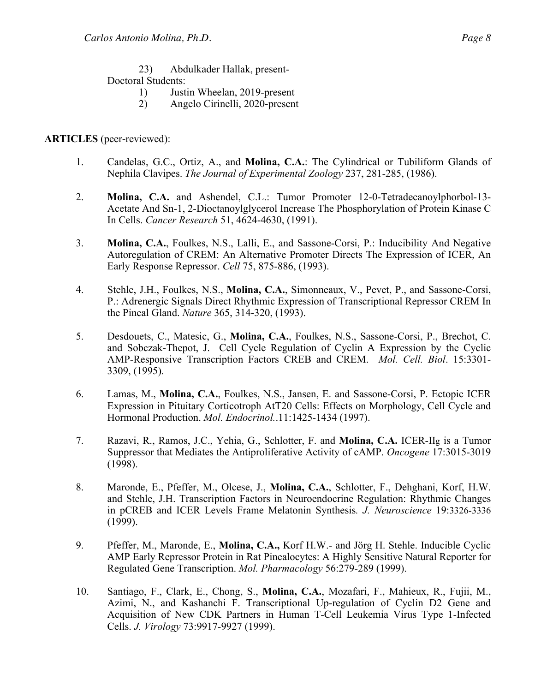23) Abdulkader Hallak, present-Doctoral Students:

- 1) Justin Wheelan, 2019-present
- 2) Angelo Cirinelli, 2020-present

### **ARTICLES** (peer-reviewed):

- 1. Candelas, G.C., Ortiz, A., and **Molina, C.A.**: The Cylindrical or Tubiliform Glands of Nephila Clavipes. *The Journal of Experimental Zoology* 237, 281-285, (1986).
- 2. **Molina, C.A.** and Ashendel, C.L.: Tumor Promoter 12-0-Tetradecanoylphorbol-13- Acetate And Sn-1, 2-Dioctanoylglycerol Increase The Phosphorylation of Protein Kinase C In Cells. *Cancer Research* 51, 4624-4630, (1991).
- 3. **Molina, C.A.**, Foulkes, N.S., Lalli, E., and Sassone-Corsi, P.: Inducibility And Negative Autoregulation of CREM: An Alternative Promoter Directs The Expression of ICER, An Early Response Repressor. *Cell* 75, 875-886, (1993).
- 4. Stehle, J.H., Foulkes, N.S., **Molina, C.A.**, Simonneaux, V., Pevet, P., and Sassone-Corsi, P.: Adrenergic Signals Direct Rhythmic Expression of Transcriptional Repressor CREM In the Pineal Gland. *Nature* 365, 314-320, (1993).
- 5. Desdouets, C., Matesic, G., **Molina, C.A.**, Foulkes, N.S., Sassone-Corsi, P., Brechot, C. and Sobczak-Thepot, J. Cell Cycle Regulation of Cyclin A Expression by the Cyclic AMP-Responsive Transcription Factors CREB and CREM. *Mol. Cell. Biol*. 15:3301- 3309, (1995).
- 6. Lamas, M., **Molina, C.A.**, Foulkes, N.S., Jansen, E. and Sassone-Corsi, P. Ectopic ICER Expression in Pituitary Corticotroph AtT20 Cells: Effects on Morphology, Cell Cycle and Hormonal Production. *Mol. Endocrinol.*.11:1425-1434 (1997).
- 7. Razavi, R., Ramos, J.C., Yehia, G., Schlotter, F. and **Molina, C.A.** ICER-IIg is a Tumor Suppressor that Mediates the Antiproliferative Activity of cAMP. *Oncogene* 17:3015-3019 (1998).
- 8. Maronde, E., Pfeffer, M., Olcese, J., **Molina, C.A.**, Schlotter, F., Dehghani, Korf, H.W. and Stehle, J.H. Transcription Factors in Neuroendocrine Regulation: Rhythmic Changes in pCREB and ICER Levels Frame Melatonin Synthesis*. J. Neuroscience* 19:3326-3336 (1999).
- 9. Pfeffer, M., Maronde, E., **Molina, C.A.,** Korf H.W.- and Jörg H. Stehle. Inducible Cyclic AMP Early Repressor Protein in Rat Pinealocytes: A Highly Sensitive Natural Reporter for Regulated Gene Transcription. *Mol. Pharmacology* 56:279-289 (1999).
- 10. Santiago, F., Clark, E., Chong, S., **Molina, C.A.**, Mozafari, F., Mahieux, R., Fujii, M., Azimi, N., and Kashanchi F. Transcriptional Up-regulation of Cyclin D2 Gene and Acquisition of New CDK Partners in Human T-Cell Leukemia Virus Type 1-Infected Cells. *J. Virology* 73:9917-9927 (1999).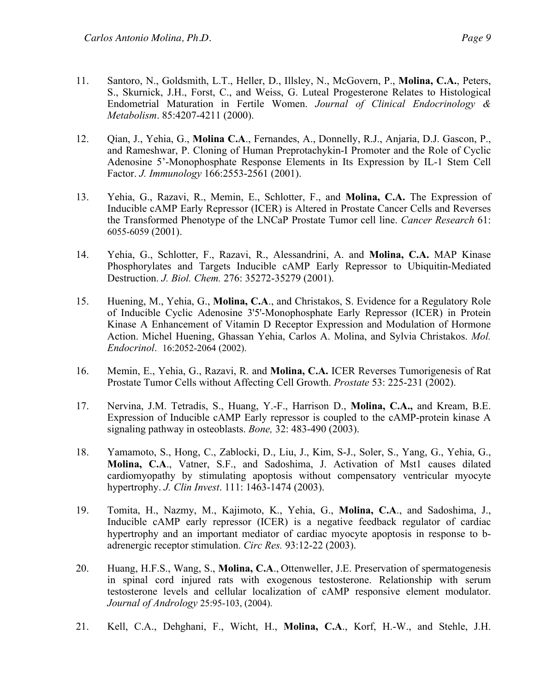- 11. Santoro, N., Goldsmith, L.T., Heller, D., Illsley, N., McGovern, P., **Molina, C.A.**, Peters, S., Skurnick, J.H., Forst, C., and Weiss, G. Luteal Progesterone Relates to Histological Endometrial Maturation in Fertile Women. *Journal of Clinical Endocrinology & Metabolism*. 85:4207-4211 (2000).
- 12. Qian, J., Yehia, G., **Molina C.A**., Fernandes, A., Donnelly, R.J., Anjaria, D.J. Gascon, P., and Rameshwar, P. Cloning of Human Preprotachykin-I Promoter and the Role of Cyclic Adenosine 5'-Monophosphate Response Elements in Its Expression by IL-1 Stem Cell Factor. *J. Immunology* 166:2553-2561 (2001).
- 13. Yehia, G., Razavi, R., Memin, E., Schlotter, F., and **Molina, C.A.** The Expression of Inducible cAMP Early Repressor (ICER) is Altered in Prostate Cancer Cells and Reverses the Transformed Phenotype of the LNCaP Prostate Tumor cell line. *Cancer Research* 61: 6055-6059 (2001).
- 14. Yehia, G., Schlotter, F., Razavi, R., Alessandrini, A. and **Molina, C.A.** MAP Kinase Phosphorylates and Targets Inducible cAMP Early Repressor to Ubiquitin-Mediated Destruction. *J. Biol. Chem.* 276: 35272-35279 (2001).
- 15. Huening, M., Yehia, G., **Molina, C.A**., and Christakos, S. Evidence for a Regulatory Role of Inducible Cyclic Adenosine 3'5'-Monophosphate Early Repressor (ICER) in Protein Kinase A Enhancement of Vitamin D Receptor Expression and Modulation of Hormone Action. Michel Huening, Ghassan Yehia, Carlos A. Molina, and Sylvia Christakos. *Mol. Endocrinol*. 16:2052-2064 (2002).
- 16. Memin, E., Yehia, G., Razavi, R. and **Molina, C.A.** ICER Reverses Tumorigenesis of Rat Prostate Tumor Cells without Affecting Cell Growth. *Prostate* 53: 225-231 (2002).
- 17. Nervina, J.M. Tetradis, S., Huang, Y.-F., Harrison D., **Molina, C.A.,** and Kream, B.E. Expression of Inducible cAMP Early repressor is coupled to the cAMP-protein kinase A signaling pathway in osteoblasts. *Bone,* 32: 483-490 (2003).
- 18. Yamamoto, S., Hong, C., Zablocki, D., Liu, J., Kim, S-J., Soler, S., Yang, G., Yehia, G., Molina, C.A., Vatner, S.F., and Sadoshima, J. Activation of Mst1 causes dilated cardiomyopathy by stimulating apoptosis without compensatory ventricular myocyte hypertrophy. *J. Clin Invest*. 111: 1463-1474 (2003).
- 19. Tomita, H., Nazmy, M., Kajimoto, K., Yehia, G., **Molina, C.A**., and Sadoshima, J., Inducible cAMP early repressor (ICER) is a negative feedback regulator of cardiac hypertrophy and an important mediator of cardiac myocyte apoptosis in response to badrenergic receptor stimulation. *Circ Res.* 93:12-22 (2003).
- 20. Huang, H.F.S., Wang, S., **Molina, C.A**., Ottenweller, J.E. Preservation of spermatogenesis in spinal cord injured rats with exogenous testosterone. Relationship with serum testosterone levels and cellular localization of cAMP responsive element modulator. *Journal of Andrology* 25:95-103, (2004).
- 21. Kell, C.A., Dehghani, F., Wicht, H., **Molina, C.A**., Korf, H.-W., and Stehle, J.H.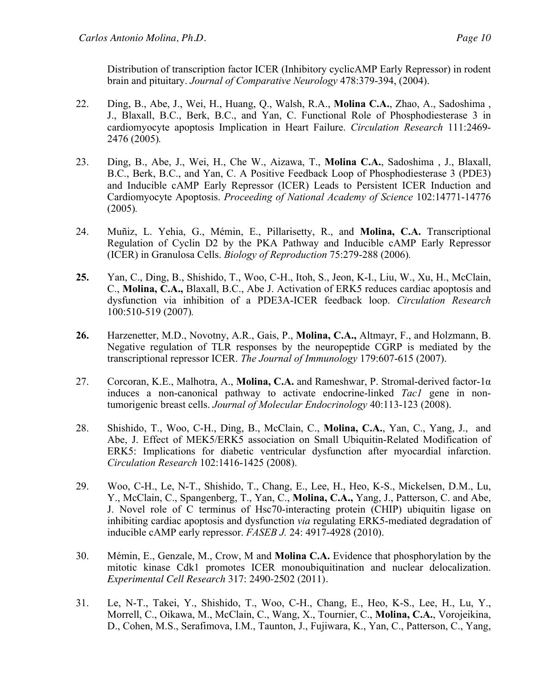Distribution of transcription factor ICER (Inhibitory cyclicAMP Early Repressor) in rodent brain and pituitary. *Journal of Comparative Neurology* 478:379-394, (2004).

- 22. Ding, B., Abe, J., Wei, H., Huang, Q., Walsh, R.A., **Molina C.A.**, Zhao, A., Sadoshima , J., Blaxall, B.C., Berk, B.C., and Yan, C. Functional Role of Phosphodiesterase 3 in cardiomyocyte apoptosis Implication in Heart Failure. *Circulation Research* 111:2469- 2476 (2005)*.*
- 23. Ding, B., Abe, J., Wei, H., Che W., Aizawa, T., **Molina C.A.**, Sadoshima , J., Blaxall, B.C., Berk, B.C., and Yan, C. A Positive Feedback Loop of Phosphodiesterase 3 (PDE3) and Inducible cAMP Early Repressor (ICER) Leads to Persistent ICER Induction and Cardiomyocyte Apoptosis. *Proceeding of National Academy of Science* 102:14771-14776 (2005)*.*
- 24. Muñiz, L. Yehia, G., Mémin, E., Pillarisetty, R., and **Molina, C.A.** Transcriptional Regulation of Cyclin D2 by the PKA Pathway and Inducible cAMP Early Repressor (ICER) in Granulosa Cells. *Biology of Reproduction* 75:279-288 (2006)*.*
- **25.** Yan, C., Ding, B., Shishido, T., Woo, C-H., Itoh, S., Jeon, K-I., Liu, W., Xu, H., McClain, C., **Molina, C.A.,** Blaxall, B.C., Abe J. Activation of ERK5 reduces cardiac apoptosis and dysfunction via inhibition of a PDE3A-ICER feedback loop. *Circulation Research* 100:510-519 (2007)*.*
- **26.** Harzenetter, M.D., Novotny, A.R., Gais, P., **Molina, C.A.,** Altmayr, F., and Holzmann, B. Negative regulation of TLR responses by the neuropeptide CGRP is mediated by the transcriptional repressor ICER. *The Journal of Immunology* 179:607-615 (2007).
- 27. Corcoran, K.E., Malhotra, A., **Molina, C.A.** and Rameshwar, P. Stromal-derived factor-1α induces a non-canonical pathway to activate endocrine-linked *Tac1* gene in nontumorigenic breast cells. *Journal of Molecular Endocrinology* 40:113-123 (2008).
- 28. Shishido, T., Woo, C-H., Ding, B., McClain, C., **Molina, C.A.**, Yan, C., Yang, J., and Abe, J. Effect of MEK5/ERK5 association on Small Ubiquitin-Related Modification of ERK5: Implications for diabetic ventricular dysfunction after myocardial infarction. *Circulation Research* 102:1416-1425 (2008).
- 29. Woo, C-H., Le, N-T., Shishido, T., Chang, E., Lee, H., Heo, K-S., Mickelsen, D.M., Lu, Y., McClain, C., Spangenberg, T., Yan, C., **Molina, C.A.,** Yang, J., Patterson, C. and Abe, J. Novel role of C terminus of Hsc70-interacting protein (CHIP) ubiquitin ligase on inhibiting cardiac apoptosis and dysfunction *via* regulating ERK5-mediated degradation of inducible cAMP early repressor. *FASEB J.* 24: 4917-4928 (2010).
- 30. Mémin, E., Genzale, M., Crow, M and **Molina C.A.** Evidence that phosphorylation by the mitotic kinase Cdk1 promotes ICER monoubiquitination and nuclear delocalization. *Experimental Cell Research* 317: 2490-2502 (2011).
- 31. Le, N-T., Takei, Y., Shishido, T., Woo, C-H., Chang, E., Heo, K-S., Lee, H., Lu, Y., Morrell, C., Oikawa, M., McClain, C., Wang, X., Tournier, C., **Molina, C.A.**, Vorojeikina, D., Cohen, M.S., Serafimova, I.M., Taunton, J., Fujiwara, K., Yan, C., Patterson, C., Yang,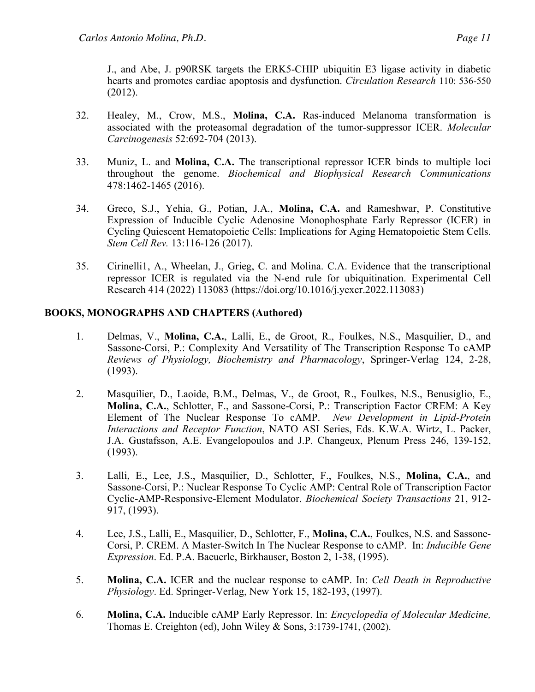J., and Abe, J. p90RSK targets the ERK5-CHIP ubiquitin E3 ligase activity in diabetic hearts and promotes cardiac apoptosis and dysfunction. *Circulation Research* 110: 536-550 (2012).

- 32. Healey, M., Crow, M.S., **Molina, C.A.** Ras-induced Melanoma transformation is associated with the proteasomal degradation of the tumor-suppressor ICER. *Molecular Carcinogenesis* 52:692-704 (2013).
- 33. Muniz, L. and **Molina, C.A.** The transcriptional repressor ICER binds to multiple loci throughout the genome. *Biochemical and Biophysical Research Communications* 478:1462-1465 (2016).
- 34. Greco, S.J., Yehia, G., Potian, J.A., **Molina, C.A.** and Rameshwar, P. Constitutive Expression of Inducible Cyclic Adenosine Monophosphate Early Repressor (ICER) in Cycling Quiescent Hematopoietic Cells: Implications for Aging Hematopoietic Stem Cells. *Stem Cell Rev.* 13:116-126 (2017).
- 35. Cirinelli1, A., Wheelan, J., Grieg, C. and Molina. C.A. Evidence that the transcriptional repressor ICER is regulated via the N-end rule for ubiquitination. Experimental Cell Research 414 (2022) 113083 (https://doi.org/10.1016/j.yexcr.2022.113083)

## **BOOKS, MONOGRAPHS AND CHAPTERS (Authored)**

- 1. Delmas, V., **Molina, C.A.**, Lalli, E., de Groot, R., Foulkes, N.S., Masquilier, D., and Sassone-Corsi, P.: Complexity And Versatility of The Transcription Response To cAMP *Reviews of Physiology, Biochemistry and Pharmacology*, Springer-Verlag 124, 2-28, (1993).
- 2. Masquilier, D., Laoide, B.M., Delmas, V., de Groot, R., Foulkes, N.S., Benusiglio, E., **Molina, C.A.**, Schlotter, F., and Sassone-Corsi, P.: Transcription Factor CREM: A Key Element of The Nuclear Response To cAMP. *New Development in Lipid-Protein Interactions and Receptor Function*, NATO ASI Series, Eds. K.W.A. Wirtz, L. Packer, J.A. Gustafsson, A.E. Evangelopoulos and J.P. Changeux, Plenum Press 246, 139-152, (1993).
- 3. Lalli, E., Lee, J.S., Masquilier, D., Schlotter, F., Foulkes, N.S., **Molina, C.A.**, and Sassone-Corsi, P.: Nuclear Response To Cyclic AMP: Central Role of Transcription Factor Cyclic-AMP-Responsive-Element Modulator. *Biochemical Society Transactions* 21, 912- 917, (1993).
- 4. Lee, J.S., Lalli, E., Masquilier, D., Schlotter, F., **Molina, C.A.**, Foulkes, N.S. and Sassone-Corsi, P. CREM. A Master-Switch In The Nuclear Response to cAMP. In: *Inducible Gene Expression*. Ed. P.A. Baeuerle, Birkhauser, Boston 2, 1-38, (1995).
- 5. **Molina, C.A.** ICER and the nuclear response to cAMP. In: *Cell Death in Reproductive Physiology*. Ed. Springer-Verlag, New York 15, 182-193, (1997).
- 6. **Molina, C.A.** Inducible cAMP Early Repressor. In: *Encyclopedia of Molecular Medicine,*  Thomas E. Creighton (ed), John Wiley & Sons, 3:1739-1741, (2002).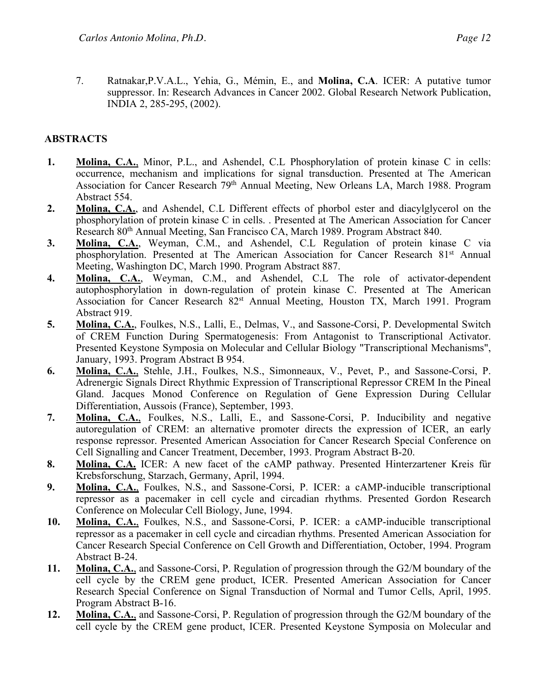7. Ratnakar,P.V.A.L., Yehia, G., Mémin, E., and **Molina, C.A**. ICER: A putative tumor suppressor. In: Research Advances in Cancer 2002. Global Research Network Publication, INDIA 2, 285-295, (2002).

## **ABSTRACTS**

- **1. Molina, C.A.**, Minor, P.L., and Ashendel, C.L Phosphorylation of protein kinase C in cells: occurrence, mechanism and implications for signal transduction. Presented at The American Association for Cancer Research 79<sup>th</sup> Annual Meeting, New Orleans LA, March 1988. Program Abstract 554.
- **2. Molina, C.A.**, and Ashendel, C.L Different effects of phorbol ester and diacylglycerol on the phosphorylation of protein kinase C in cells. . Presented at The American Association for Cancer Research 80th Annual Meeting, San Francisco CA, March 1989. Program Abstract 840.
- **3. Molina, C.A.**, Weyman, C.M., and Ashendel, C.L Regulation of protein kinase C via phosphorylation. Presented at The American Association for Cancer Research 81<sup>st</sup> Annual Meeting, Washington DC, March 1990. Program Abstract 887.
- **4. Molina, C.A.**, Weyman, C.M., and Ashendel, C.L The role of activator-dependent autophosphorylation in down-regulation of protein kinase C. Presented at The American Association for Cancer Research 82<sup>st</sup> Annual Meeting, Houston TX, March 1991. Program Abstract 919.
- **5. Molina, C.A.**, Foulkes, N.S., Lalli, E., Delmas, V., and Sassone-Corsi, P. Developmental Switch of CREM Function During Spermatogenesis: From Antagonist to Transcriptional Activator. Presented Keystone Symposia on Molecular and Cellular Biology "Transcriptional Mechanisms", January, 1993. Program Abstract B 954.
- **6. Molina, C.A.**, Stehle, J.H., Foulkes, N.S., Simonneaux, V., Pevet, P., and Sassone-Corsi, P. Adrenergic Signals Direct Rhythmic Expression of Transcriptional Repressor CREM In the Pineal Gland. Jacques Monod Conference on Regulation of Gene Expression During Cellular Differentiation, Aussois (France), September, 1993.
- **7. Molina, C.A.**, Foulkes, N.S., Lalli, E., and Sassone-Corsi, P. Inducibility and negative autoregulation of CREM: an alternative promoter directs the expression of ICER, an early response repressor. Presented American Association for Cancer Research Special Conference on Cell Signalling and Cancer Treatment, December, 1993. Program Abstract B-20.
- **8. Molina, C.A.** ICER: A new facet of the cAMP pathway. Presented Hinterzartener Kreis für Krebsforschung, Starzach, Germany, April, 1994.
- **9. Molina, C.A.**, Foulkes, N.S., and Sassone-Corsi, P. ICER: a cAMP-inducible transcriptional repressor as a pacemaker in cell cycle and circadian rhythms. Presented Gordon Research Conference on Molecular Cell Biology, June, 1994.
- **10. Molina, C.A.**, Foulkes, N.S., and Sassone-Corsi, P. ICER: a cAMP-inducible transcriptional repressor as a pacemaker in cell cycle and circadian rhythms. Presented American Association for Cancer Research Special Conference on Cell Growth and Differentiation, October, 1994. Program Abstract B-24.
- **11. Molina, C.A.**, and Sassone-Corsi, P. Regulation of progression through the G2/M boundary of the cell cycle by the CREM gene product, ICER. Presented American Association for Cancer Research Special Conference on Signal Transduction of Normal and Tumor Cells, April, 1995. Program Abstract B-16.
- **12. Molina, C.A.**, and Sassone-Corsi, P. Regulation of progression through the G2/M boundary of the cell cycle by the CREM gene product, ICER. Presented Keystone Symposia on Molecular and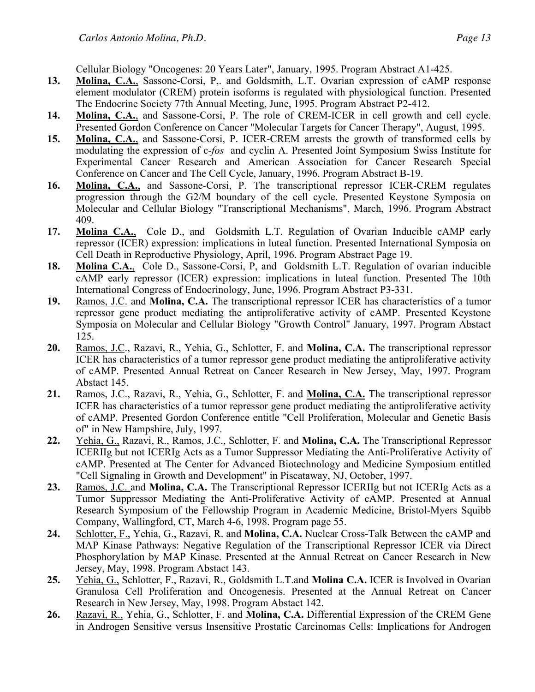Cellular Biology "Oncogenes: 20 Years Later", January, 1995. Program Abstract A1-425.

- **13. Molina, C.A.**, Sassone-Corsi, P,. and Goldsmith, L.T. Ovarian expression of cAMP response element modulator (CREM) protein isoforms is regulated with physiological function. Presented The Endocrine Society 77th Annual Meeting, June, 1995. Program Abstract P2-412.
- **14. Molina, C.A.**, and Sassone-Corsi, P. The role of CREM-ICER in cell growth and cell cycle. Presented Gordon Conference on Cancer "Molecular Targets for Cancer Therapy", August, 1995.
- **15. Molina, C.A.**, and Sassone-Corsi, P. ICER-CREM arrests the growth of transformed cells by modulating the expression of c-*fos* and cyclin A. Presented Joint Symposium Swiss Institute for Experimental Cancer Research and American Association for Cancer Research Special Conference on Cancer and The Cell Cycle, January, 1996. Program Abstract B-19.
- **16. Molina, C.A.**, and Sassone-Corsi, P. The transcriptional repressor ICER-CREM regulates progression through the G2/M boundary of the cell cycle. Presented Keystone Symposia on Molecular and Cellular Biology "Transcriptional Mechanisms", March, 1996. Program Abstract 409.
- **17. Molina C.A.**, Cole D., and Goldsmith L.T. Regulation of Ovarian Inducible cAMP early repressor (ICER) expression: implications in luteal function. Presented International Symposia on Cell Death in Reproductive Physiology, April, 1996. Program Abstract Page 19.
- **18. Molina C.A.**, Cole D., Sassone-Corsi, P, and Goldsmith L.T. Regulation of ovarian inducible cAMP early repressor (ICER) expression: implications in luteal function. Presented The 10th International Congress of Endocrinology, June, 1996. Program Abstract P3-331.
- **19.** Ramos, J.C. and **Molina, C.A.** The transcriptional repressor ICER has characteristics of a tumor repressor gene product mediating the antiproliferative activity of cAMP. Presented Keystone Symposia on Molecular and Cellular Biology "Growth Control" January, 1997. Program Abstact 125.
- **20.** Ramos, J.C., Razavi, R., Yehia, G., Schlotter, F. and **Molina, C.A.** The transcriptional repressor ICER has characteristics of a tumor repressor gene product mediating the antiproliferative activity of cAMP. Presented Annual Retreat on Cancer Research in New Jersey, May, 1997. Program Abstact 145.
- **21.** Ramos, J.C., Razavi, R., Yehia, G., Schlotter, F. and **Molina, C.A.** The transcriptional repressor ICER has characteristics of a tumor repressor gene product mediating the antiproliferative activity of cAMP. Presented Gordon Conference entitle "Cell Proliferation, Molecular and Genetic Basis of" in New Hampshire, July, 1997.
- **22.** Yehia, G., Razavi, R., Ramos, J.C., Schlotter, F. and **Molina, C.A.** The Transcriptional Repressor ICERIIg but not ICERIg Acts as a Tumor Suppressor Mediating the Anti-Proliferative Activity of cAMP. Presented at The Center for Advanced Biotechnology and Medicine Symposium entitled "Cell Signaling in Growth and Development" in Piscataway, NJ, October, 1997.
- **23.** Ramos, J.C. and **Molina, C.A.** The Transcriptional Repressor ICERIIg but not ICERIg Acts as a Tumor Suppressor Mediating the Anti-Proliferative Activity of cAMP. Presented at Annual Research Symposium of the Fellowship Program in Academic Medicine, Bristol-Myers Squibb Company, Wallingford, CT, March 4-6, 1998. Program page 55.
- **24.** Schlotter, F., Yehia, G., Razavi, R. and **Molina, C.A.** Nuclear Cross-Talk Between the cAMP and MAP Kinase Pathways: Negative Regulation of the Transcriptional Repressor ICER via Direct Phosphorylation by MAP Kinase. Presented at the Annual Retreat on Cancer Research in New Jersey, May, 1998. Program Abstact 143.
- **25.** Yehia, G., Schlotter, F., Razavi, R., Goldsmith L.T.and **Molina C.A.** ICER is Involved in Ovarian Granulosa Cell Proliferation and Oncogenesis. Presented at the Annual Retreat on Cancer Research in New Jersey, May, 1998. Program Abstact 142.
- **26.** Razavi, R., Yehia, G., Schlotter, F. and **Molina, C.A.** Differential Expression of the CREM Gene in Androgen Sensitive versus Insensitive Prostatic Carcinomas Cells: Implications for Androgen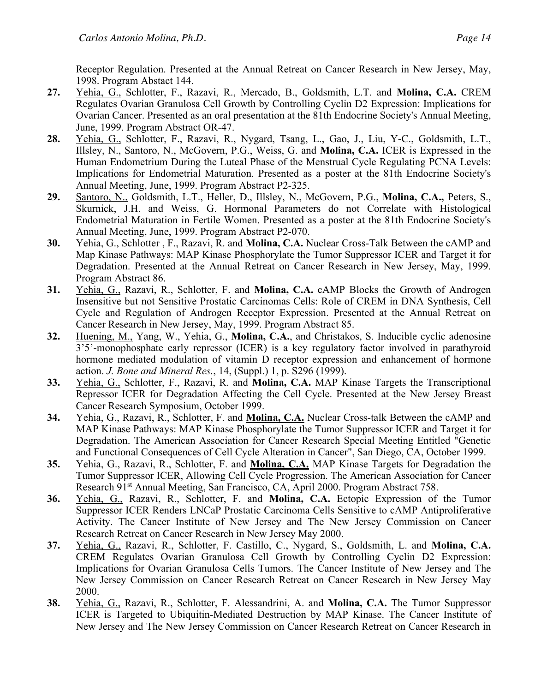Receptor Regulation. Presented at the Annual Retreat on Cancer Research in New Jersey, May, 1998. Program Abstact 144.

- **27.** Yehia, G., Schlotter, F., Razavi, R., Mercado, B., Goldsmith, L.T. and **Molina, C.A.** CREM Regulates Ovarian Granulosa Cell Growth by Controlling Cyclin D2 Expression: Implications for Ovarian Cancer. Presented as an oral presentation at the 81th Endocrine Society's Annual Meeting, June, 1999. Program Abstract OR-47.
- **28.** Yehia, G., Schlotter, F., Razavi, R., Nygard, Tsang, L., Gao, J., Liu, Y-C., Goldsmith, L.T., Illsley, N., Santoro, N., McGovern, P.G., Weiss, G. and **Molina, C.A.** ICER is Expressed in the Human Endometrium During the Luteal Phase of the Menstrual Cycle Regulating PCNA Levels: Implications for Endometrial Maturation. Presented as a poster at the 81th Endocrine Society's Annual Meeting, June, 1999. Program Abstract P2-325.
- **29.** Santoro, N., Goldsmith, L.T., Heller, D., Illsley, N., McGovern, P.G., **Molina, C.A.,** Peters, S., Skurnick, J.H. and Weiss, G. Hormonal Parameters do not Correlate with Histological Endometrial Maturation in Fertile Women. Presented as a poster at the 81th Endocrine Society's Annual Meeting, June, 1999. Program Abstract P2-070.
- **30.** Yehia, G., Schlotter , F., Razavi, R. and **Molina, C.A.** Nuclear Cross-Talk Between the cAMP and Map Kinase Pathways: MAP Kinase Phosphorylate the Tumor Suppressor ICER and Target it for Degradation. Presented at the Annual Retreat on Cancer Research in New Jersey, May, 1999. Program Abstract 86.
- **31.** Yehia, G., Razavi, R., Schlotter, F. and **Molina, C.A.** cAMP Blocks the Growth of Androgen Insensitive but not Sensitive Prostatic Carcinomas Cells: Role of CREM in DNA Synthesis, Cell Cycle and Regulation of Androgen Receptor Expression. Presented at the Annual Retreat on Cancer Research in New Jersey, May, 1999. Program Abstract 85.
- **32.** Huening, M., Yang, W., Yehia, G., **Molina, C.A.**, and Christakos, S. Inducible cyclic adenosine 3'5'-monophosphate early repressor (ICER) is a key regulatory factor involved in parathyroid hormone mediated modulation of vitamin D receptor expression and enhancement of hormone action. *J. Bone and Mineral Res.*, 14, (Suppl.) 1, p. S296 (1999).
- **33.** Yehia, G., Schlotter, F., Razavi, R. and **Molina, C.A.** MAP Kinase Targets the Transcriptional Repressor ICER for Degradation Affecting the Cell Cycle. Presented at the New Jersey Breast Cancer Research Symposium, October 1999.
- **34.** Yehia, G., Razavi, R., Schlotter, F. and **Molina, C.A.** Nuclear Cross-talk Between the cAMP and MAP Kinase Pathways: MAP Kinase Phosphorylate the Tumor Suppressor ICER and Target it for Degradation. The American Association for Cancer Research Special Meeting Entitled "Genetic and Functional Consequences of Cell Cycle Alteration in Cancer", San Diego, CA, October 1999.
- **35.** Yehia, G., Razavi, R., Schlotter, F. and **Molina, C.A.** MAP Kinase Targets for Degradation the Tumor Suppressor ICER, Allowing Cell Cycle Progression. The American Association for Cancer Research 91st Annual Meeting, San Francisco, CA, April 2000. Program Abstract 758.
- **36.** Yehia, G., Razavi, R., Schlotter, F. and **Molina, C.A.** Ectopic Expression of the Tumor Suppressor ICER Renders LNCaP Prostatic Carcinoma Cells Sensitive to cAMP Antiproliferative Activity. The Cancer Institute of New Jersey and The New Jersey Commission on Cancer Research Retreat on Cancer Research in New Jersey May 2000.
- **37.** Yehia, G., Razavi, R., Schlotter, F. Castillo, C., Nygard, S., Goldsmith, L. and **Molina, C.A.**  CREM Regulates Ovarian Granulosa Cell Growth by Controlling Cyclin D2 Expression: Implications for Ovarian Granulosa Cells Tumors. The Cancer Institute of New Jersey and The New Jersey Commission on Cancer Research Retreat on Cancer Research in New Jersey May 2000.
- **38.** Yehia, G., Razavi, R., Schlotter, F. Alessandrini, A. and **Molina, C.A.** The Tumor Suppressor ICER is Targeted to Ubiquitin-Mediated Destruction by MAP Kinase. The Cancer Institute of New Jersey and The New Jersey Commission on Cancer Research Retreat on Cancer Research in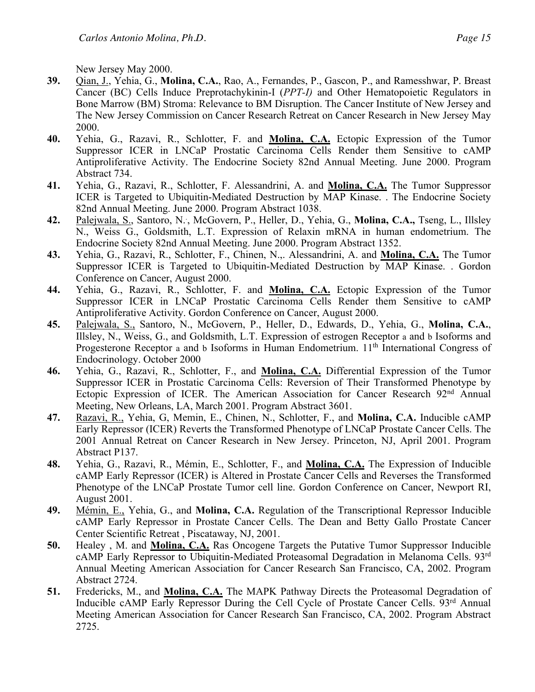New Jersey May 2000.

- **39.** Qian, J., Yehia, G., **Molina, C.A.**, Rao, A., Fernandes, P., Gascon, P., and Ramesshwar, P. Breast Cancer (BC) Cells Induce Preprotachykinin-I (*PPT-I)* and Other Hematopoietic Regulators in Bone Marrow (BM) Stroma: Relevance to BM Disruption. The Cancer Institute of New Jersey and The New Jersey Commission on Cancer Research Retreat on Cancer Research in New Jersey May 2000.
- **40.** Yehia, G., Razavi, R., Schlotter, F. and **Molina, C.A.** Ectopic Expression of the Tumor Suppressor ICER in LNCaP Prostatic Carcinoma Cells Render them Sensitive to cAMP Antiproliferative Activity. The Endocrine Society 82nd Annual Meeting. June 2000. Program Abstract 734.
- **41.** Yehia, G., Razavi, R., Schlotter, F. Alessandrini, A. and **Molina, C.A.** The Tumor Suppressor ICER is Targeted to Ubiquitin-Mediated Destruction by MAP Kinase. . The Endocrine Society 82nd Annual Meeting. June 2000. Program Abstract 1038.
- **42.** Palejwala, S., Santoro, N.. , McGovern, P., Heller, D., Yehia, G., **Molina, C.A.,** Tseng, L., Illsley N., Weiss G., Goldsmith, L.T. Expression of Relaxin mRNA in human endometrium. The Endocrine Society 82nd Annual Meeting. June 2000. Program Abstract 1352.
- **43.** Yehia, G., Razavi, R., Schlotter, F., Chinen, N.,. Alessandrini, A. and **Molina, C.A.** The Tumor Suppressor ICER is Targeted to Ubiquitin-Mediated Destruction by MAP Kinase. . Gordon Conference on Cancer, August 2000.
- **44.** Yehia, G., Razavi, R., Schlotter, F. and **Molina, C.A.** Ectopic Expression of the Tumor Suppressor ICER in LNCaP Prostatic Carcinoma Cells Render them Sensitive to cAMP Antiproliferative Activity. Gordon Conference on Cancer, August 2000.
- **45.** Palejwala, S., Santoro, N., McGovern, P., Heller, D., Edwards, D., Yehia, G., **Molina, C.A.**, Illsley, N., Weiss, G., and Goldsmith, L.T. Expression of estrogen Receptor a and b Isoforms and Progesterone Receptor a and b Isoforms in Human Endometrium. 11<sup>th</sup> International Congress of Endocrinology. October 2000
- **46.** Yehia, G., Razavi, R., Schlotter, F., and **Molina, C.A.** Differential Expression of the Tumor Suppressor ICER in Prostatic Carcinoma Cells: Reversion of Their Transformed Phenotype by Ectopic Expression of ICER. The American Association for Cancer Research 92nd Annual Meeting, New Orleans, LA, March 2001. Program Abstract 3601.
- **47.** Razavi, R., Yehia, G, Memin, E., Chinen, N., Schlotter, F., and **Molina, C.A.** Inducible cAMP Early Repressor (ICER) Reverts the Transformed Phenotype of LNCaP Prostate Cancer Cells. The 2001 Annual Retreat on Cancer Research in New Jersey. Princeton, NJ, April 2001. Program Abstract P137.
- **48.** Yehia, G., Razavi, R., Mémin, E., Schlotter, F., and **Molina, C.A.** The Expression of Inducible cAMP Early Repressor (ICER) is Altered in Prostate Cancer Cells and Reverses the Transformed Phenotype of the LNCaP Prostate Tumor cell line. Gordon Conference on Cancer, Newport RI, August 2001.
- **49.** Mémin, E., Yehia, G., and **Molina, C.A.** Regulation of the Transcriptional Repressor Inducible cAMP Early Repressor in Prostate Cancer Cells. The Dean and Betty Gallo Prostate Cancer Center Scientific Retreat , Piscataway, NJ, 2001.
- **50.** Healey , M. and **Molina, C.A.** Ras Oncogene Targets the Putative Tumor Suppressor Inducible cAMP Early Repressor to Ubiquitin-Mediated Proteasomal Degradation in Melanoma Cells. 93rd Annual Meeting American Association for Cancer Research San Francisco, CA, 2002. Program Abstract 2724.
- **51.** Fredericks, M., and **Molina, C.A.** The MAPK Pathway Directs the Proteasomal Degradation of Inducible cAMP Early Repressor During the Cell Cycle of Prostate Cancer Cells. 93<sup>rd</sup> Annual Meeting American Association for Cancer Research San Francisco, CA, 2002. Program Abstract 2725.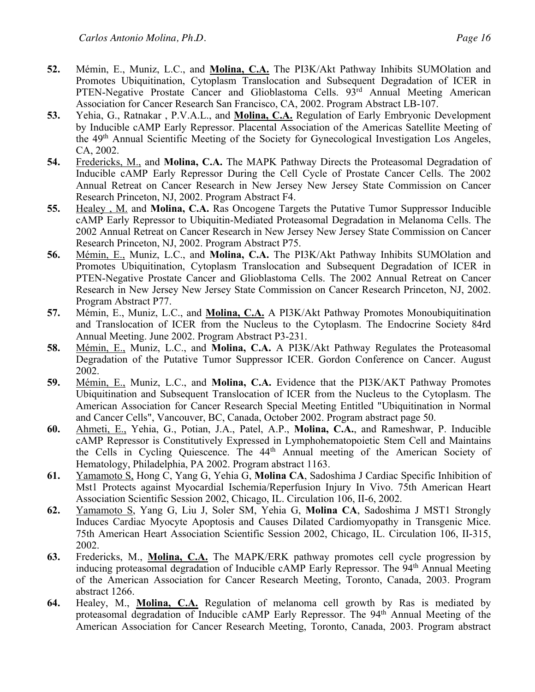- **52.** Mémin, E., Muniz, L.C., and **Molina, C.A.** The PI3K/Akt Pathway Inhibits SUMOlation and Promotes Ubiquitination, Cytoplasm Translocation and Subsequent Degradation of ICER in PTEN-Negative Prostate Cancer and Glioblastoma Cells. 93<sup>rd</sup> Annual Meeting American Association for Cancer Research San Francisco, CA, 2002. Program Abstract LB-107.
- **53.** Yehia, G., Ratnakar , P.V.A.L., and **Molina, C.A.** Regulation of Early Embryonic Development by Inducible cAMP Early Repressor. Placental Association of the Americas Satellite Meeting of the 49th Annual Scientific Meeting of the Society for Gynecological Investigation Los Angeles, CA, 2002.
- **54.** Fredericks, M., and **Molina, C.A.** The MAPK Pathway Directs the Proteasomal Degradation of Inducible cAMP Early Repressor During the Cell Cycle of Prostate Cancer Cells. The 2002 Annual Retreat on Cancer Research in New Jersey New Jersey State Commission on Cancer Research Princeton, NJ, 2002. Program Abstract F4.
- **55.** Healey , M. and **Molina, C.A.** Ras Oncogene Targets the Putative Tumor Suppressor Inducible cAMP Early Repressor to Ubiquitin-Mediated Proteasomal Degradation in Melanoma Cells. The 2002 Annual Retreat on Cancer Research in New Jersey New Jersey State Commission on Cancer Research Princeton, NJ, 2002. Program Abstract P75.
- **56.** Mémin, E., Muniz, L.C., and **Molina, C.A.** The PI3K/Akt Pathway Inhibits SUMOlation and Promotes Ubiquitination, Cytoplasm Translocation and Subsequent Degradation of ICER in PTEN-Negative Prostate Cancer and Glioblastoma Cells. The 2002 Annual Retreat on Cancer Research in New Jersey New Jersey State Commission on Cancer Research Princeton, NJ, 2002. Program Abstract P77.
- **57.** Mémin, E., Muniz, L.C., and **Molina, C.A.** A PI3K/Akt Pathway Promotes Monoubiquitination and Translocation of ICER from the Nucleus to the Cytoplasm. The Endocrine Society 84rd Annual Meeting. June 2002. Program Abstract P3-231.
- **58.** Mémin, E., Muniz, L.C., and **Molina, C.A.** A PI3K/Akt Pathway Regulates the Proteasomal Degradation of the Putative Tumor Suppressor ICER. Gordon Conference on Cancer. August 2002.
- **59.** Mémin, E., Muniz, L.C., and **Molina, C.A.** Evidence that the PI3K/AKT Pathway Promotes Ubiquitination and Subsequent Translocation of ICER from the Nucleus to the Cytoplasm. The American Association for Cancer Research Special Meeting Entitled "Ubiquitination in Normal and Cancer Cells", Vancouver, BC, Canada, October 2002. Program abstract page 50.
- **60.** Ahmeti, E., Yehia, G., Potian, J.A., Patel, A.P., **Molina, C.A.**, and Rameshwar, P. Inducible cAMP Repressor is Constitutively Expressed in Lymphohematopoietic Stem Cell and Maintains the Cells in Cycling Quiescence. The 44th Annual meeting of the American Society of Hematology, Philadelphia, PA 2002. Program abstract 1163.
- **61.** Yamamoto S, Hong C, Yang G, Yehia G, **Molina CA**, Sadoshima J Cardiac Specific Inhibition of Mst1 Protects against Myocardial Ischemia/Reperfusion Injury In Vivo. 75th American Heart Association Scientific Session 2002, Chicago, IL. Circulation 106, II-6, 2002.
- **62.** Yamamoto S, Yang G, Liu J, Soler SM, Yehia G, **Molina CA**, Sadoshima J MST1 Strongly Induces Cardiac Myocyte Apoptosis and Causes Dilated Cardiomyopathy in Transgenic Mice. 75th American Heart Association Scientific Session 2002, Chicago, IL. Circulation 106, II-315, 2002.
- **63.** Fredericks, M., **Molina, C.A.** The MAPK/ERK pathway promotes cell cycle progression by inducing proteasomal degradation of Inducible cAMP Early Repressor. The 94<sup>th</sup> Annual Meeting of the American Association for Cancer Research Meeting, Toronto, Canada, 2003. Program abstract 1266.
- **64.** Healey, M., **Molina, C.A.** Regulation of melanoma cell growth by Ras is mediated by proteasomal degradation of Inducible cAMP Early Repressor. The 94<sup>th</sup> Annual Meeting of the American Association for Cancer Research Meeting, Toronto, Canada, 2003. Program abstract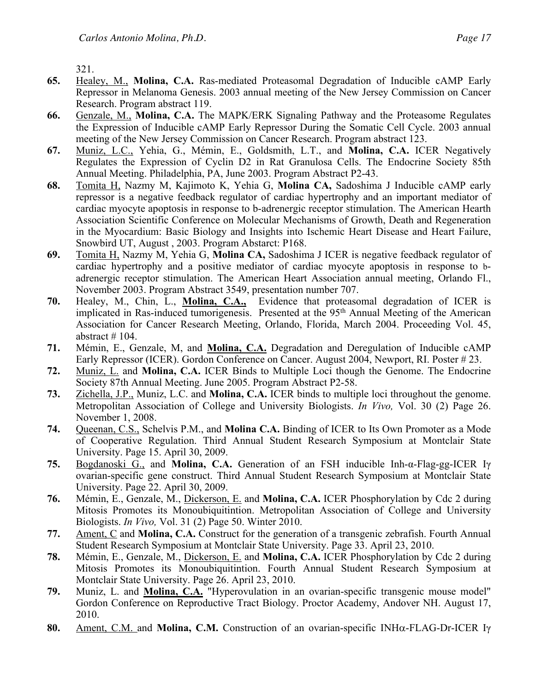321.

- **65.** Healey, M., **Molina, C.A.** Ras-mediated Proteasomal Degradation of Inducible cAMP Early Repressor in Melanoma Genesis. 2003 annual meeting of the New Jersey Commission on Cancer Research. Program abstract 119.
- **66.** Genzale, M., **Molina, C.A.** The MAPK/ERK Signaling Pathway and the Proteasome Regulates the Expression of Inducible cAMP Early Repressor During the Somatic Cell Cycle. 2003 annual meeting of the New Jersey Commission on Cancer Research. Program abstract 123.
- **67.** Muniz, L.C., Yehia, G., Mémin, E., Goldsmith, L.T., and **Molina, C.A.** ICER Negatively Regulates the Expression of Cyclin D2 in Rat Granulosa Cells. The Endocrine Society 85th Annual Meeting. Philadelphia, PA, June 2003. Program Abstract P2-43.
- **68.** Tomita H, Nazmy M, Kajimoto K, Yehia G, **Molina CA,** Sadoshima J Inducible cAMP early repressor is a negative feedback regulator of cardiac hypertrophy and an important mediator of cardiac myocyte apoptosis in response to b-adrenergic receptor stimulation. The American Hearth Association Scientific Conference on Molecular Mechanisms of Growth, Death and Regeneration in the Myocardium: Basic Biology and Insights into Ischemic Heart Disease and Heart Failure, Snowbird UT, August , 2003. Program Abstarct: P168.
- **69.** Tomita H, Nazmy M, Yehia G, **Molina CA,** Sadoshima J ICER is negative feedback regulator of cardiac hypertrophy and a positive mediator of cardiac myocyte apoptosis in response to badrenergic receptor stimulation. The American Heart Association annual meeting, Orlando Fl., November 2003. Program Abstract 3549, presentation number 707.
- **70.** Healey, M., Chin, L., **Molina, C.A.,** Evidence that proteasomal degradation of ICER is implicated in Ras-induced tumorigenesis. Presented at the 95<sup>th</sup> Annual Meeting of the American Association for Cancer Research Meeting, Orlando, Florida, March 2004. Proceeding Vol. 45, abstract # 104.
- **71.** Mémin, E., Genzale, M, and **Molina, C.A.** Degradation and Deregulation of Inducible cAMP Early Repressor (ICER). Gordon Conference on Cancer. August 2004, Newport, RI. Poster # 23.
- **72.** Muniz, L. and **Molina, C.A.** ICER Binds to Multiple Loci though the Genome. The Endocrine Society 87th Annual Meeting. June 2005. Program Abstract P2-58.
- **73.** Zichella, J.P., Muniz, L.C. and **Molina, C.A.** ICER binds to multiple loci throughout the genome. Metropolitan Association of College and University Biologists. *In Vivo,* Vol. 30 (2) Page 26. November 1, 2008.
- **74.** Queenan, C.S., Schelvis P.M., and **Molina C.A.** Binding of ICER to Its Own Promoter as a Mode of Cooperative Regulation. Third Annual Student Research Symposium at Montclair State University. Page 15. April 30, 2009.
- **75.** Bogdanoski G., and **Molina, C.A.** Generation of an FSH inducible Inh-α-Flag-gg-ICER Iγ ovarian-specific gene construct. Third Annual Student Research Symposium at Montclair State University. Page 22. April 30, 2009.
- **76.** Mémin, E., Genzale, M., Dickerson, E. and **Molina, C.A.** ICER Phosphorylation by Cdc 2 during Mitosis Promotes its Monoubiquitintion. Metropolitan Association of College and University Biologists. *In Vivo,* Vol. 31 (2) Page 50. Winter 2010.
- **77.** Ament, C and **Molina, C.A.** Construct for the generation of a transgenic zebrafish. Fourth Annual Student Research Symposium at Montclair State University. Page 33. April 23, 2010.
- **78.** Mémin, E., Genzale, M., Dickerson, E. and **Molina, C.A.** ICER Phosphorylation by Cdc 2 during Mitosis Promotes its Monoubiquitintion. Fourth Annual Student Research Symposium at Montclair State University. Page 26. April 23, 2010.
- **79.** Muniz, L. and **Molina, C.A.** "Hyperovulation in an ovarian-specific transgenic mouse model" Gordon Conference on Reproductive Tract Biology. Proctor Academy, Andover NH. August 17, 2010.
- **80.** Ament, C.M. and **Molina, C.M.** Construction of an ovarian-specific INHa-FLAG-Dr-ICER Iγ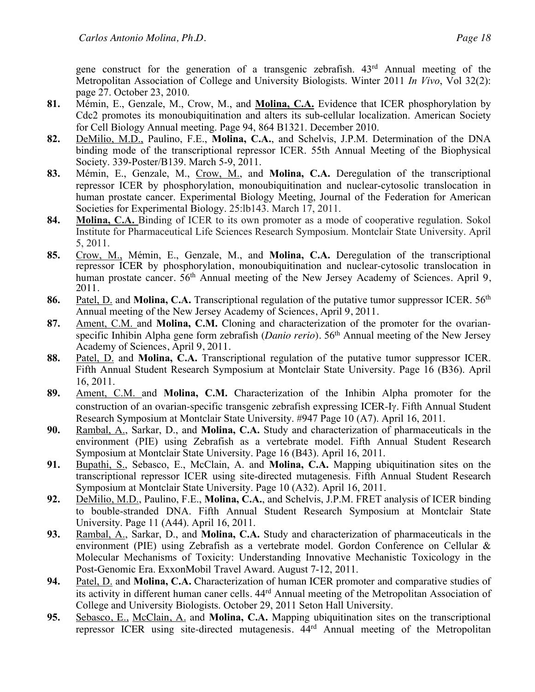gene construct for the generation of a transgenic zebrafish. 43rd Annual meeting of the Metropolitan Association of College and University Biologists. Winter 2011 *In Vivo*, Vol 32(2): page 27. October 23, 2010.

- **81.** Mémin, E., Genzale, M., Crow, M., and **Molina, C.A.** Evidence that ICER phosphorylation by Cdc2 promotes its monoubiquitination and alters its sub-cellular localization. American Society for Cell Biology Annual meeting. Page 94, 864 B1321. December 2010.
- **82.** DeMilio, M.D., Paulino, F.E., **Molina, C.A.**, and Schelvis, J.P.M. Determination of the DNA binding mode of the transcriptional repressor ICER. 55th Annual Meeting of the Biophysical Society. 339-Poster/B139. March 5-9, 2011.
- **83.** Mémin, E., Genzale, M., Crow, M., and **Molina, C.A.** Deregulation of the transcriptional repressor ICER by phosphorylation, monoubiquitination and nuclear-cytosolic translocation in human prostate cancer. Experimental Biology Meeting, Journal of the Federation for American Societies for Experimental Biology. 25:lb143. March 17, 2011.
- **84. Molina, C.A.** Binding of ICER to its own promoter as a mode of cooperative regulation. Sokol Institute for Pharmaceutical Life Sciences Research Symposium. Montclair State University. April 5, 2011.
- **85.** Crow, M., Mémin, E., Genzale, M., and **Molina, C.A.** Deregulation of the transcriptional repressor ICER by phosphorylation, monoubiquitination and nuclear-cytosolic translocation in human prostate cancer. 56<sup>th</sup> Annual meeting of the New Jersey Academy of Sciences. April 9, 2011.
- **86.** Patel, D. and Molina, C.A. Transcriptional regulation of the putative tumor suppressor ICER. 56<sup>th</sup> Annual meeting of the New Jersey Academy of Sciences, April 9, 2011.
- **87.** Ament, C.M. and **Molina, C.M.** Cloning and characterization of the promoter for the ovarianspecific Inhibin Alpha gene form zebrafish (*Danio rerio*). 56<sup>th</sup> Annual meeting of the New Jersey Academy of Sciences, April 9, 2011.
- **88.** Patel, D. and **Molina, C.A.** Transcriptional regulation of the putative tumor suppressor ICER. Fifth Annual Student Research Symposium at Montclair State University. Page 16 (B36). April 16, 2011.
- **89.** Ament, C.M. and **Molina, C.M.** Characterization of the Inhibin Alpha promoter for the construction of an ovarian-specific transgenic zebrafish expressing ICER-Ig. Fifth Annual Student Research Symposium at Montclair State University. #947 Page 10 (A7). April 16, 2011.
- **90.** Rambal, A., Sarkar, D., and **Molina, C.A.** Study and characterization of pharmaceuticals in the environment (PIE) using Zebrafish as a vertebrate model. Fifth Annual Student Research Symposium at Montclair State University. Page 16 (B43). April 16, 2011.
- **91.** Bupathi, S., Sebasco, E., McClain, A. and **Molina, C.A.** Mapping ubiquitination sites on the transcriptional repressor ICER using site-directed mutagenesis. Fifth Annual Student Research Symposium at Montclair State University. Page 10 (A32). April 16, 2011.
- **92.** DeMilio, M.D., Paulino, F.E., **Molina, C.A.**, and Schelvis, J.P.M. FRET analysis of ICER binding to bouble-stranded DNA. Fifth Annual Student Research Symposium at Montclair State University. Page 11 (A44). April 16, 2011.
- **93.** Rambal, A., Sarkar, D., and **Molina, C.A.** Study and characterization of pharmaceuticals in the environment (PIE) using Zebrafish as a vertebrate model. Gordon Conference on Cellular & Molecular Mechanisms of Toxicity: Understanding Innovative Mechanistic Toxicology in the Post-Genomic Era. ExxonMobil Travel Award. August 7-12, 2011.
- **94.** Patel, D. and **Molina, C.A.** Characterization of human ICER promoter and comparative studies of its activity in different human caner cells. 44rd Annual meeting of the Metropolitan Association of College and University Biologists. October 29, 2011 Seton Hall University.
- **95.** Sebasco, E., McClain, A. and **Molina, C.A.** Mapping ubiquitination sites on the transcriptional repressor ICER using site-directed mutagenesis. 44rd Annual meeting of the Metropolitan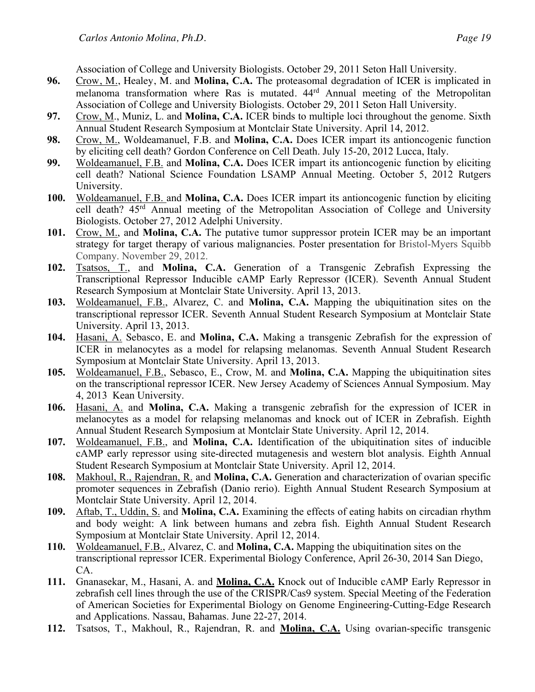Association of College and University Biologists. October 29, 2011 Seton Hall University.

- **96.** Crow, M., Healey, M. and **Molina, C.A.** The proteasomal degradation of ICER is implicated in melanoma transformation where Ras is mutated. 44rd Annual meeting of the Metropolitan Association of College and University Biologists. October 29, 2011 Seton Hall University.
- **97.** Crow, M., Muniz, L. and **Molina, C.A.** ICER binds to multiple loci throughout the genome. Sixth Annual Student Research Symposium at Montclair State University. April 14, 2012.
- **98.** Crow, M., Woldeamanuel, F.B. and **Molina, C.A.** Does ICER impart its antioncogenic function by eliciting cell death? Gordon Conference on Cell Death. July 15-20, 2012 Lucca, Italy.
- **99.** Woldeamanuel, F.B. and **Molina, C.A.** Does ICER impart its antioncogenic function by eliciting cell death? National Science Foundation LSAMP Annual Meeting. October 5, 2012 Rutgers University.
- **100.** Woldeamanuel, F.B. and **Molina, C.A.** Does ICER impart its antioncogenic function by eliciting cell death? 45rd Annual meeting of the Metropolitan Association of College and University Biologists. October 27, 2012 Adelphi University.
- **101.** Crow, M., and **Molina, C.A.** The putative tumor suppressor protein ICER may be an important strategy for target therapy of various malignancies. Poster presentation for Bristol-Myers Squibb Company. November 29, 2012.
- **102.** Tsatsos, T., and **Molina, C.A.** Generation of a Transgenic Zebrafish Expressing the Transcriptional Repressor Inducible cAMP Early Repressor (ICER). Seventh Annual Student Research Symposium at Montclair State University. April 13, 2013.
- **103.** Woldeamanuel, F.B., Alvarez, C. and **Molina, C.A.** Mapping the ubiquitination sites on the transcriptional repressor ICER. Seventh Annual Student Research Symposium at Montclair State University. April 13, 2013.
- **104.** Hasani, A. Sebasco, E. and **Molina, C.A.** Making a transgenic Zebrafish for the expression of ICER in melanocytes as a model for relapsing melanomas. Seventh Annual Student Research Symposium at Montclair State University. April 13, 2013.
- **105.** Woldeamanuel, F.B., Sebasco, E., Crow, M. and **Molina, C.A.** Mapping the ubiquitination sites on the transcriptional repressor ICER. New Jersey Academy of Sciences Annual Symposium. May 4, 2013 Kean University.
- **106.** Hasani, A. and **Molina, C.A.** Making a transgenic zebrafish for the expression of ICER in melanocytes as a model for relapsing melanomas and knock out of ICER in Zebrafish. Eighth Annual Student Research Symposium at Montclair State University. April 12, 2014.
- **107.** Woldeamanuel, F.B., and **Molina, C.A.** Identification of the ubiquitination sites of inducible cAMP early repressor using site-directed mutagenesis and western blot analysis. Eighth Annual Student Research Symposium at Montclair State University. April 12, 2014.
- **108.** Makhoul, R., Rajendran, R. and **Molina, C.A.** Generation and characterization of ovarian specific promoter sequences in Zebrafish (Danio rerio). Eighth Annual Student Research Symposium at Montclair State University. April 12, 2014.
- **109.** Aftab, T., Uddin, S. and **Molina, C.A.** Examining the effects of eating habits on circadian rhythm and body weight: A link between humans and zebra fish. Eighth Annual Student Research Symposium at Montclair State University. April 12, 2014.
- **110.** Woldeamanuel, F.B., Alvarez, C. and **Molina, C.A.** Mapping the ubiquitination sites on the transcriptional repressor ICER. Experimental Biology Conference, April 26-30, 2014 San Diego, CA.
- **111.** Gnanasekar, M., Hasani, A. and **Molina, C.A.** Knock out of Inducible cAMP Early Repressor in zebrafish cell lines through the use of the CRISPR/Cas9 system. Special Meeting of the Federation of American Societies for Experimental Biology on Genome Engineering-Cutting-Edge Research and Applications. Nassau, Bahamas. June 22-27, 2014.
- **112.** Tsatsos, T., Makhoul, R., Rajendran, R. and **Molina, C.A.** Using ovarian-specific transgenic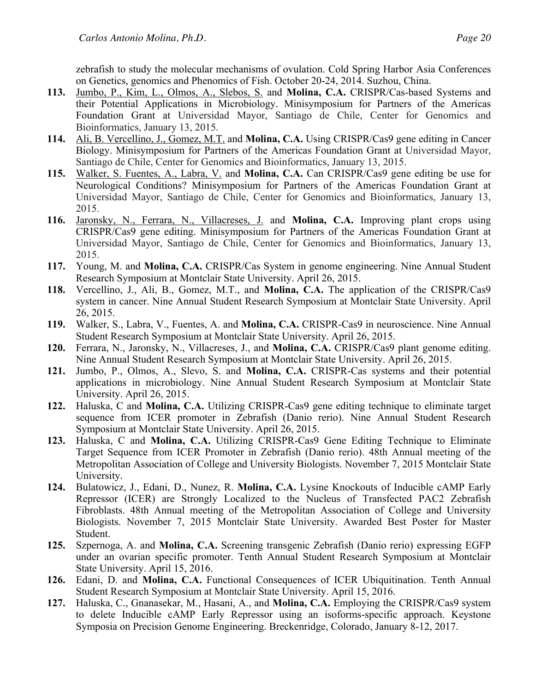zebrafish to study the molecular mechanisms of ovulation. Cold Spring Harbor Asia Conferences on Genetics, genomics and Phenomics of Fish. October 20-24, 2014. Suzhou, China.

- **113.** Jumbo, P., Kim, L., Olmos, A., Slebos, S. and **Molina, C.A.** CRISPR/Cas-based Systems and their Potential Applications in Microbiology. Minisymposium for Partners of the Americas Foundation Grant at Universidad Mayor, Santiago de Chile, Center for Genomics and Bioinformatics, January 13, 2015.
- **114.** Ali, B. Vercellino, J., Gomez, M.T. and **Molina, C.A.** Using CRISPR/Cas9 gene editing in Cancer Biology. Minisymposium for Partners of the Americas Foundation Grant at Universidad Mayor, Santiago de Chile, Center for Genomics and Bioinformatics, January 13, 2015.
- **115.** Walker, S. Fuentes, A., Labra, V. and **Molina, C.A.** Can CRISPR/Cas9 gene editing be use for Neurological Conditions? Minisymposium for Partners of the Americas Foundation Grant at Universidad Mayor, Santiago de Chile, Center for Genomics and Bioinformatics, January 13, 2015.
- **116.** Jaronsky, N., Ferrara, N., Villacreses, J. and **Molina, C.A.** Improving plant crops using CRISPR/Cas9 gene editing. Minisymposium for Partners of the Americas Foundation Grant at Universidad Mayor, Santiago de Chile, Center for Genomics and Bioinformatics, January 13, 2015.
- **117.** Young, M. and **Molina, C.A.** CRISPR/Cas System in genome engineering. Nine Annual Student Research Symposium at Montclair State University. April 26, 2015.
- **118.** Vercellino, J., Ali, B., Gomez, M.T., and **Molina, C.A.** The application of the CRISPR/Cas9 system in cancer. Nine Annual Student Research Symposium at Montclair State University. April 26, 2015.
- **119.** Walker, S., Labra, V., Fuentes, A. and **Molina, C.A.** CRISPR-Cas9 in neuroscience. Nine Annual Student Research Symposium at Montclair State University. April 26, 2015.
- **120.** Ferrara, N., Jaronsky, N., Villacreses, J., and **Molina, C.A.** CRISPR/Cas9 plant genome editing. Nine Annual Student Research Symposium at Montclair State University. April 26, 2015.
- **121.** Jumbo, P., Olmos, A., Slevo, S. and **Molina, C.A.** CRISPR-Cas systems and their potential applications in microbiology. Nine Annual Student Research Symposium at Montclair State University. April 26, 2015.
- **122.** Haluska, C and **Molina, C.A.** Utilizing CRISPR-Cas9 gene editing technique to eliminate target sequence from ICER promoter in Zebrafish (Danio rerio). Nine Annual Student Research Symposium at Montclair State University. April 26, 2015.
- **123.** Haluska, C and **Molina, C.A.** Utilizing CRISPR-Cas9 Gene Editing Technique to Eliminate Target Sequence from ICER Promoter in Zebrafish (Danio rerio). 48th Annual meeting of the Metropolitan Association of College and University Biologists. November 7, 2015 Montclair State University.
- **124.** Bulatowicz, J., Edani, D., Nunez, R. **Molina, C.A.** Lysine Knockouts of Inducible cAMP Early Repressor (ICER) are Strongly Localized to the Nucleus of Transfected PAC2 Zebrafish Fibroblasts. 48th Annual meeting of the Metropolitan Association of College and University Biologists. November 7, 2015 Montclair State University. Awarded Best Poster for Master Student.
- **125.** Szpernoga, A. and **Molina, C.A.** Screening transgenic Zebrafish (Danio rerio) expressing EGFP under an ovarian specific promoter. Tenth Annual Student Research Symposium at Montclair State University. April 15, 2016.
- **126.** Edani, D. and **Molina, C.A.** Functional Consequences of ICER Ubiquitination. Tenth Annual Student Research Symposium at Montclair State University. April 15, 2016.
- **127.** Haluska, C., Gnanasekar, M., Hasani, A., and **Molina, C.A.** Employing the CRISPR/Cas9 system to delete Inducible cAMP Early Repressor using an isoforms-specific approach. Keystone Symposia on Precision Genome Engineering. Breckenridge, Colorado, January 8-12, 2017.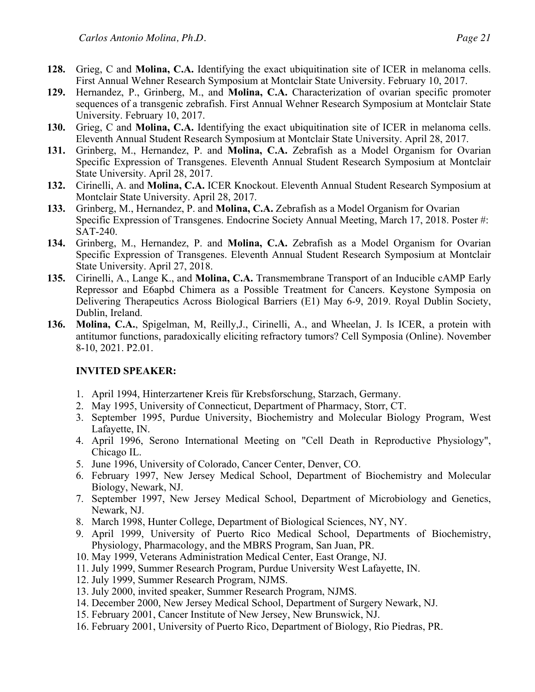- **128.** Grieg, C and **Molina, C.A.** Identifying the exact ubiquitination site of ICER in melanoma cells. First Annual Wehner Research Symposium at Montclair State University. February 10, 2017.
- **129.** Hernandez, P., Grinberg, M., and **Molina, C.A.** Characterization of ovarian specific promoter sequences of a transgenic zebrafish. First Annual Wehner Research Symposium at Montclair State University. February 10, 2017.
- **130.** Grieg, C and **Molina, C.A.** Identifying the exact ubiquitination site of ICER in melanoma cells. Eleventh Annual Student Research Symposium at Montclair State University. April 28, 2017.
- **131.** Grinberg, M., Hernandez, P. and **Molina, C.A.** Zebrafish as a Model Organism for Ovarian Specific Expression of Transgenes. Eleventh Annual Student Research Symposium at Montclair State University. April 28, 2017.
- **132.** Cirinelli, A. and **Molina, C.A.** ICER Knockout. Eleventh Annual Student Research Symposium at Montclair State University. April 28, 2017.
- **133.** Grinberg, M., Hernandez, P. and **Molina, C.A.** Zebrafish as a Model Organism for Ovarian Specific Expression of Transgenes. Endocrine Society Annual Meeting, March 17, 2018. Poster #: SAT-240.
- **134.** Grinberg, M., Hernandez, P. and **Molina, C.A.** Zebrafish as a Model Organism for Ovarian Specific Expression of Transgenes. Eleventh Annual Student Research Symposium at Montclair State University. April 27, 2018.
- **135.** Cirinelli, A., Lange K., and **Molina, C.A.** Transmembrane Transport of an Inducible cAMP Early Repressor and E6apbd Chimera as a Possible Treatment for Cancers. Keystone Symposia on Delivering Therapeutics Across Biological Barriers (E1) May 6-9, 2019. Royal Dublin Society, Dublin, Ireland.
- **136. Molina, C.A.**, Spigelman, M, Reilly,J., Cirinelli, A., and Wheelan, J. Is ICER, a protein with antitumor functions, paradoxically eliciting refractory tumors? Cell Symposia (Online). November 8-10, 2021. P2.01.

### **INVITED SPEAKER:**

- 1. April 1994, Hinterzartener Kreis für Krebsforschung, Starzach, Germany.
- 2. May 1995, University of Connecticut, Department of Pharmacy, Storr, CT.
- 3. September 1995, Purdue University, Biochemistry and Molecular Biology Program, West Lafayette, IN.
- 4. April 1996, Serono International Meeting on "Cell Death in Reproductive Physiology", Chicago IL.
- 5. June 1996, University of Colorado, Cancer Center, Denver, CO.
- 6. February 1997, New Jersey Medical School, Department of Biochemistry and Molecular Biology, Newark, NJ.
- 7. September 1997, New Jersey Medical School, Department of Microbiology and Genetics, Newark, NJ.
- 8. March 1998, Hunter College, Department of Biological Sciences, NY, NY.
- 9. April 1999, University of Puerto Rico Medical School, Departments of Biochemistry, Physiology, Pharmacology, and the MBRS Program, San Juan, PR.
- 10. May 1999, Veterans Administration Medical Center, East Orange, NJ.
- 11. July 1999, Summer Research Program, Purdue University West Lafayette, IN.
- 12. July 1999, Summer Research Program, NJMS.
- 13. July 2000, invited speaker, Summer Research Program, NJMS.
- 14. December 2000, New Jersey Medical School, Department of Surgery Newark, NJ.
- 15. February 2001, Cancer Institute of New Jersey, New Brunswick, NJ.
- 16. February 2001, University of Puerto Rico, Department of Biology, Rio Piedras, PR.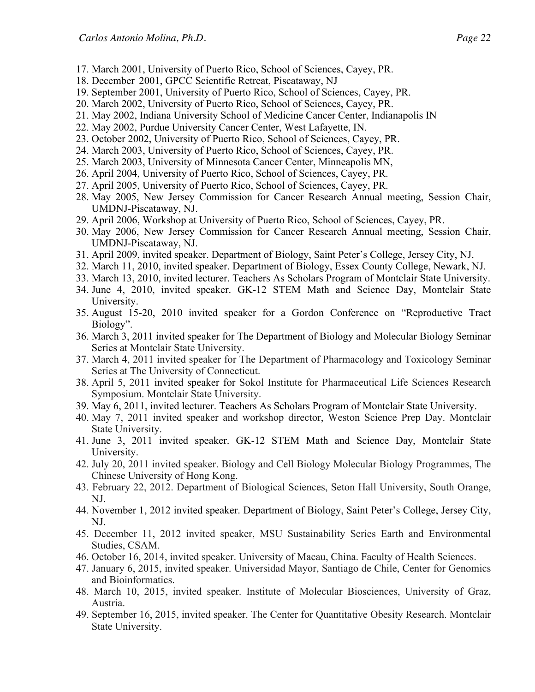- 17. March 2001, University of Puerto Rico, School of Sciences, Cayey, PR.
- 18. December 2001, GPCC Scientific Retreat, Piscataway, NJ
- 19. September 2001, University of Puerto Rico, School of Sciences, Cayey, PR.
- 20. March 2002, University of Puerto Rico, School of Sciences, Cayey, PR.
- 21. May 2002, Indiana University School of Medicine Cancer Center, Indianapolis IN
- 22. May 2002, Purdue University Cancer Center, West Lafayette, IN.
- 23. October 2002, University of Puerto Rico, School of Sciences, Cayey, PR.
- 24. March 2003, University of Puerto Rico, School of Sciences, Cayey, PR.
- 25. March 2003, University of Minnesota Cancer Center, Minneapolis MN,
- 26. April 2004, University of Puerto Rico, School of Sciences, Cayey, PR.
- 27. April 2005, University of Puerto Rico, School of Sciences, Cayey, PR.
- 28. May 2005, New Jersey Commission for Cancer Research Annual meeting, Session Chair, UMDNJ-Piscataway, NJ.
- 29. April 2006, Workshop at University of Puerto Rico, School of Sciences, Cayey, PR.
- 30. May 2006, New Jersey Commission for Cancer Research Annual meeting, Session Chair, UMDNJ-Piscataway, NJ.
- 31. April 2009, invited speaker. Department of Biology, Saint Peter's College, Jersey City, NJ.
- 32. March 11, 2010, invited speaker. Department of Biology, Essex County College, Newark, NJ.
- 33. March 13, 2010, invited lecturer. Teachers As Scholars Program of Montclair State University.
- 34. June 4, 2010, invited speaker. GK-12 STEM Math and Science Day, Montclair State University.
- 35. August 15-20, 2010 invited speaker for a Gordon Conference on "Reproductive Tract Biology".
- 36. March 3, 2011 invited speaker for The Department of Biology and Molecular Biology Seminar Series at Montclair State University.
- 37. March 4, 2011 invited speaker for The Department of Pharmacology and Toxicology Seminar Series at The University of Connecticut.
- 38. April 5, 2011 invited speaker for Sokol Institute for Pharmaceutical Life Sciences Research Symposium. Montclair State University.
- 39. May 6, 2011, invited lecturer. Teachers As Scholars Program of Montclair State University.
- 40. May 7, 2011 invited speaker and workshop director, Weston Science Prep Day. Montclair State University.
- 41. June 3, 2011 invited speaker. GK-12 STEM Math and Science Day, Montclair State University.
- 42. July 20, 2011 invited speaker. Biology and Cell Biology Molecular Biology Programmes, The Chinese University of Hong Kong.
- 43. February 22, 2012. Department of Biological Sciences, Seton Hall University, South Orange, NJ.
- 44. November 1, 2012 invited speaker. Department of Biology, Saint Peter's College, Jersey City, NJ.
- 45. December 11, 2012 invited speaker, MSU Sustainability Series Earth and Environmental Studies, CSAM.
- 46. October 16, 2014, invited speaker. University of Macau, China. Faculty of Health Sciences.
- 47. January 6, 2015, invited speaker. Universidad Mayor, Santiago de Chile, Center for Genomics and Bioinformatics.
- 48. March 10, 2015, invited speaker. Institute of Molecular Biosciences, University of Graz, Austria.
- 49. September 16, 2015, invited speaker. The Center for Quantitative Obesity Research. Montclair State University.